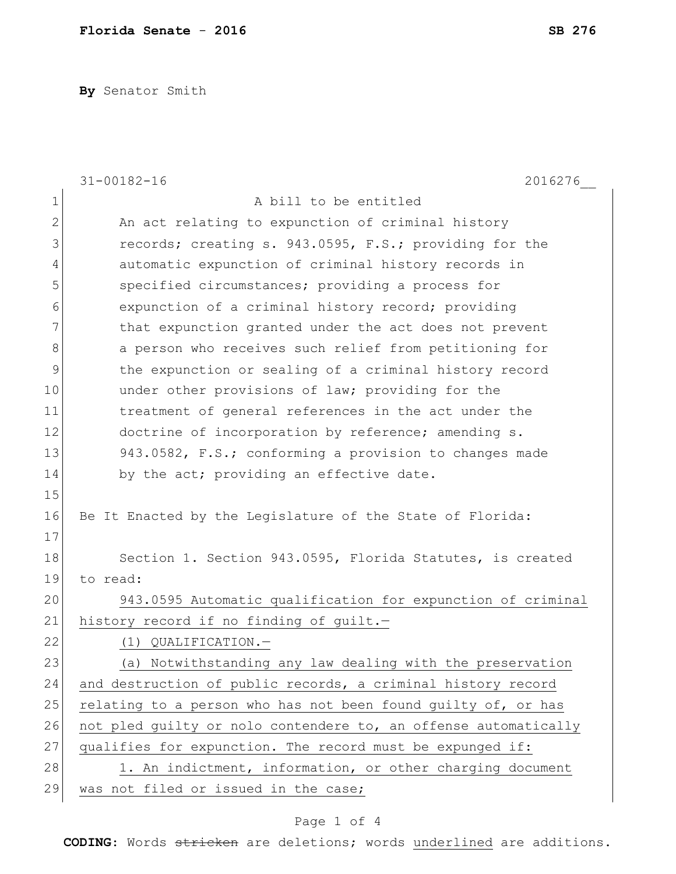**By** Senator Smith

|              | $31 - 00182 - 16$<br>2016276                                    |
|--------------|-----------------------------------------------------------------|
| $\mathbf{1}$ | A bill to be entitled                                           |
| $\mathbf{2}$ | An act relating to expunction of criminal history               |
| 3            | records; creating s. 943.0595, F.S.; providing for the          |
| 4            | automatic expunction of criminal history records in             |
| 5            | specified circumstances; providing a process for                |
| 6            | expunction of a criminal history record; providing              |
| 7            | that expunction granted under the act does not prevent          |
| 8            | a person who receives such relief from petitioning for          |
| 9            | the expunction or sealing of a criminal history record          |
| 10           | under other provisions of law; providing for the                |
| 11           | treatment of general references in the act under the            |
| 12           | doctrine of incorporation by reference; amending s.             |
| 13           | 943.0582, F.S.; conforming a provision to changes made          |
| 14           | by the act; providing an effective date.                        |
| 15           |                                                                 |
| 16           | Be It Enacted by the Legislature of the State of Florida:       |
| 17           |                                                                 |
| 18           | Section 1. Section 943.0595, Florida Statutes, is created       |
| 19           | to read:                                                        |
| 20           | 943.0595 Automatic qualification for expunction of criminal     |
| 21           | history record if no finding of guilt.-                         |
| 22           | (1) QUALIFICATION.-                                             |
| 23           | (a) Notwithstanding any law dealing with the preservation       |
| 24           | and destruction of public records, a criminal history record    |
| 25           | relating to a person who has not been found guilty of, or has   |
| 26           | not pled quilty or nolo contendere to, an offense automatically |
| 27           | qualifies for expunction. The record must be expunged if:       |
| 28           | 1. An indictment, information, or other charging document       |
| 29           | was not filed or issued in the case;                            |

## Page 1 of 4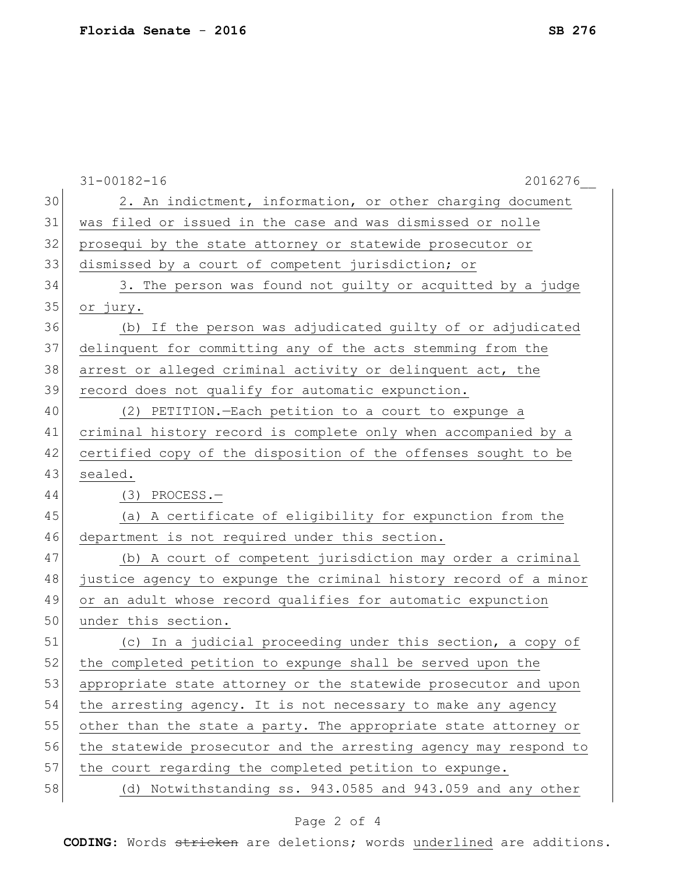|    | $31 - 00182 - 16$<br>2016276                                     |
|----|------------------------------------------------------------------|
| 30 | 2. An indictment, information, or other charging document        |
| 31 | was filed or issued in the case and was dismissed or nolle       |
| 32 | prosequi by the state attorney or statewide prosecutor or        |
| 33 | dismissed by a court of competent jurisdiction; or               |
| 34 | 3. The person was found not guilty or acquitted by a judge       |
| 35 | or jury.                                                         |
| 36 | (b) If the person was adjudicated guilty of or adjudicated       |
| 37 | delinquent for committing any of the acts stemming from the      |
| 38 | arrest or alleged criminal activity or delinquent act, the       |
| 39 | record does not qualify for automatic expunction.                |
| 40 | (2) PETITION. - Each petition to a court to expunge a            |
| 41 | criminal history record is complete only when accompanied by a   |
| 42 | certified copy of the disposition of the offenses sought to be   |
| 43 | sealed.                                                          |
| 44 | $(3)$ PROCESS. -                                                 |
| 45 | (a) A certificate of eligibility for expunction from the         |
| 46 | department is not required under this section.                   |
| 47 | (b) A court of competent jurisdiction may order a criminal       |
| 48 | justice agency to expunge the criminal history record of a minor |
| 49 | or an adult whose record qualifies for automatic expunction      |
| 50 | under this section.                                              |
| 51 | (c) In a judicial proceeding under this section, a copy of       |
| 52 | the completed petition to expunge shall be served upon the       |
| 53 | appropriate state attorney or the statewide prosecutor and upon  |
| 54 | the arresting agency. It is not necessary to make any agency     |
| 55 | other than the state a party. The appropriate state attorney or  |
| 56 | the statewide prosecutor and the arresting agency may respond to |
| 57 | the court regarding the completed petition to expunge.           |
| 58 | (d) Notwithstanding ss. 943.0585 and 943.059 and any other       |

## Page 2 of 4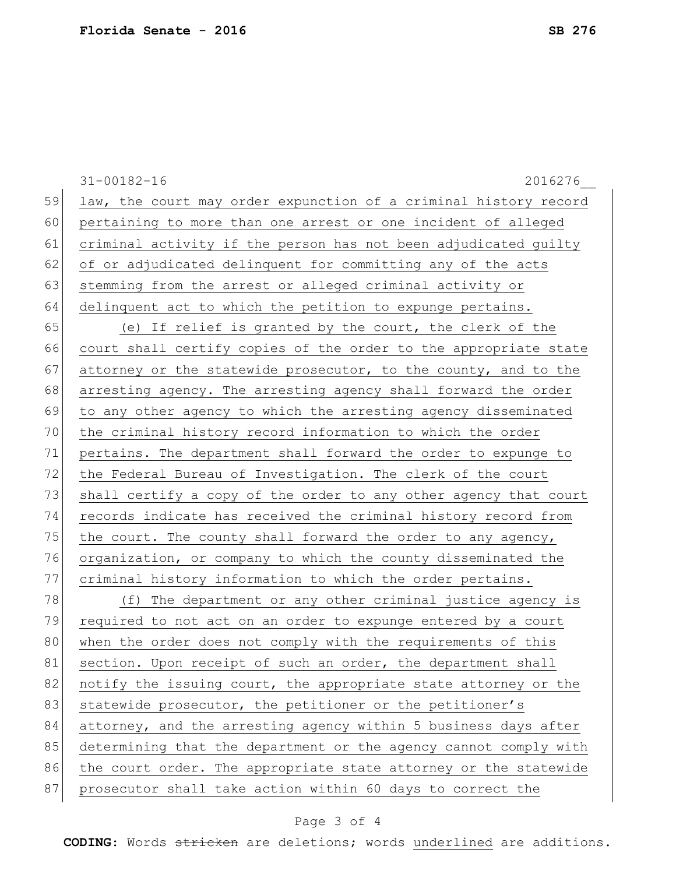|    | 2016276<br>$31 - 00182 - 16$                                     |
|----|------------------------------------------------------------------|
| 59 | law, the court may order expunction of a criminal history record |
| 60 | pertaining to more than one arrest or one incident of alleged    |
| 61 | criminal activity if the person has not been adjudicated guilty  |
| 62 | of or adjudicated delinquent for committing any of the acts      |
| 63 | stemming from the arrest or alleged criminal activity or         |
| 64 | delinquent act to which the petition to expunge pertains.        |
| 65 | (e) If relief is granted by the court, the clerk of the          |
| 66 | court shall certify copies of the order to the appropriate state |
| 67 | attorney or the statewide prosecutor, to the county, and to the  |
| 68 | arresting agency. The arresting agency shall forward the order   |
| 69 | to any other agency to which the arresting agency disseminated   |
| 70 | the criminal history record information to which the order       |
| 71 | pertains. The department shall forward the order to expunge to   |
| 72 | the Federal Bureau of Investigation. The clerk of the court      |
| 73 | shall certify a copy of the order to any other agency that court |
| 74 | records indicate has received the criminal history record from   |
| 75 | the court. The county shall forward the order to any agency,     |
| 76 | organization, or company to which the county disseminated the    |
| 77 | criminal history information to which the order pertains.        |
| 78 | (f)<br>The department or any other criminal justice agency is    |
| 79 | required to not act on an order to expunge entered by a court    |
| 80 | when the order does not comply with the requirements of this     |
| 81 | section. Upon receipt of such an order, the department shall     |
| 82 | notify the issuing court, the appropriate state attorney or the  |
| 83 | statewide prosecutor, the petitioner or the petitioner's         |
| 84 | attorney, and the arresting agency within 5 business days after  |
| 85 | determining that the department or the agency cannot comply with |
| 86 | the court order. The appropriate state attorney or the statewide |
| 87 | prosecutor shall take action within 60 days to correct the       |

## Page 3 of 4